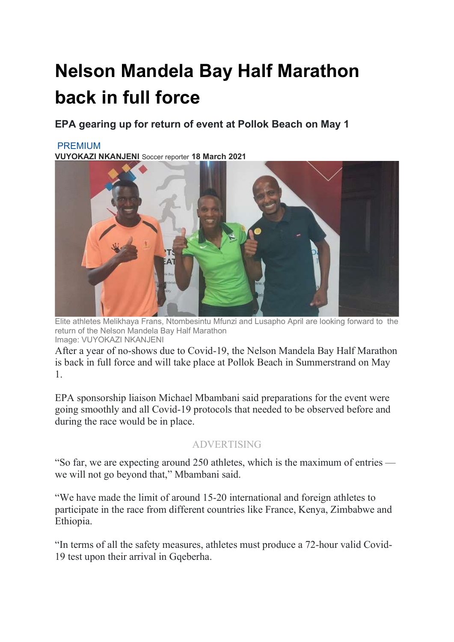## Nelson Mandela Bay Half Marathon back in full force

EPA gearing up for return of event at Pollok Beach on May 1

## PREMIUM

VUYOKAZI NKANJENI Soccer reporter 18 March 2021



Elite athletes Melikhaya Frans, Ntombesintu Mfunzi and Lusapho April are looking forward to the return of the Nelson Mandela Bay Half Marathon Image: VUYOKAZI NKANJENI

After a year of no-shows due to Covid-19, the Nelson Mandela Bay Half Marathon is back in full force and will take place at Pollok Beach in Summerstrand on May 1.

EPA sponsorship liaison Michael Mbambani said preparations for the event were going smoothly and all Covid-19 protocols that needed to be observed before and during the race would be in place.

## ADVERTISING

"So far, we are expecting around 250 athletes, which is the maximum of entries we will not go beyond that," Mbambani said.

"We have made the limit of around 15-20 international and foreign athletes to participate in the race from different countries like France, Kenya, Zimbabwe and Ethiopia.

"In terms of all the safety measures, athletes must produce a 72-hour valid Covid-19 test upon their arrival in Gqeberha.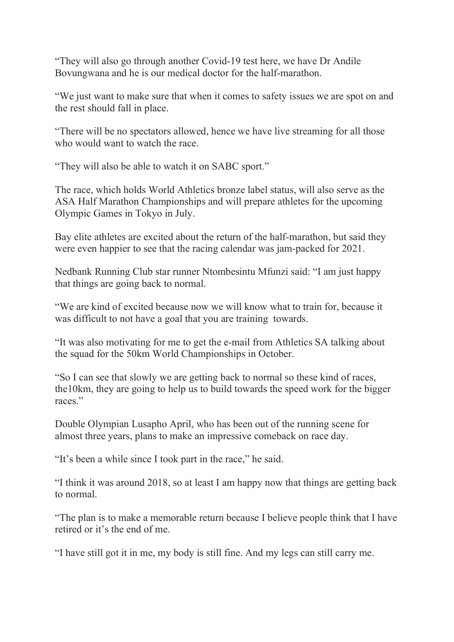"They will also go through another Covid-19 test here, we have Dr Andile Bovungwana and he is our medical doctor for the half-marathon.

"We just want to make sure that when it comes to safety issues we are spot on and the rest should fall in place.

"There will be no spectators allowed, hence we have live streaming for all those who would want to watch the race.

"They will also be able to watch it on SABC sport."

The race, which holds World Athletics bronze label status, will also serve as the ASA Half Marathon Championships and will prepare athletes for the upcoming Olympic Games in Tokyo in July.

Bay elite athletes are excited about the return of the half-marathon, but said they were even happier to see that the racing calendar was jam-packed for 2021.

Nedbank Running Club star runner Ntombesintu Mfunzi said: "I am just happy that things are going back to normal.

"We are kind of excited because now we will know what to train for, because it was difficult to not have a goal that you are training towards.

"It was also motivating for me to get the e-mail from Athletics SA talking about the squad for the 50km World Championships in October.

"So I can see that slowly we are getting back to normal so these kind of races, the10km, they are going to help us to build towards the speed work for the bigger races."

Double Olympian Lusapho April, who has been out of the running scene for almost three years, plans to make an impressive comeback on race day.

"It's been a while since I took part in the race," he said.

"I think it was around 2018, so at least I am happy now that things are getting back to normal.

"The plan is to make a memorable return because I believe people think that I have retired or it's the end of me.

"I have still got it in me, my body is still fine. And my legs can still carry me.